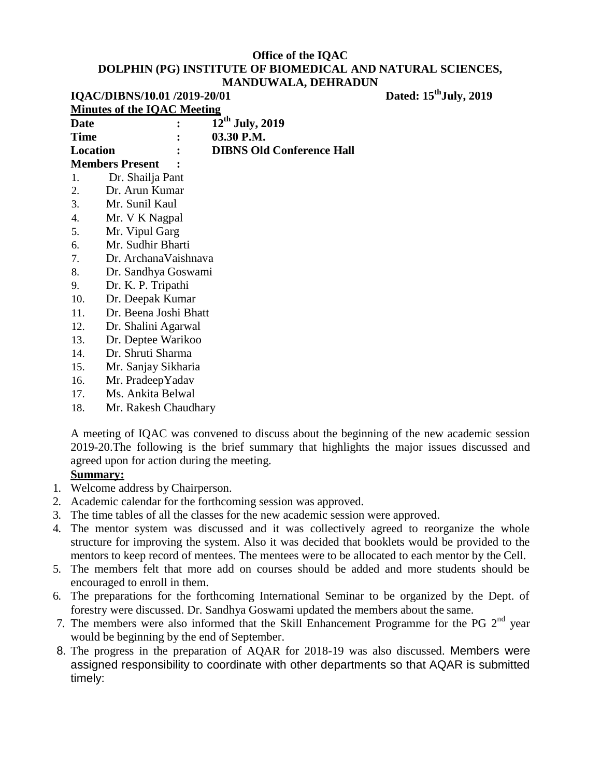| IQAC/DIBNS/10.01 /2019-20/01 |                                    | Dated: 15 <sup>th</sup> July, 2019 |  |
|------------------------------|------------------------------------|------------------------------------|--|
|                              | <b>Minutes of the IOAC Meeting</b> |                                    |  |
| Date                         |                                    | $12^{th}$ July, 2019               |  |
| <b>Time</b>                  |                                    | 03.30 P.M.                         |  |
| Location                     |                                    | <b>DIBNS Old Conference Hall</b>   |  |
|                              | <b>Members Present</b>             |                                    |  |
| 1.                           | Dr. Shailja Pant                   |                                    |  |
| 2.                           | Dr. Arun Kumar                     |                                    |  |
| 3.                           | Mr. Sunil Kaul                     |                                    |  |
| 4.                           | Mr. V K Nagpal                     |                                    |  |
| 5.                           | Mr. Vipul Garg                     |                                    |  |
| 6.                           | Mr. Sudhir Bharti                  |                                    |  |
| 7.                           | Dr. ArchanaVaishnava               |                                    |  |
| 8.                           | Dr. Sandhya Goswami                |                                    |  |
| 9.                           | Dr. K. P. Tripathi                 |                                    |  |
| 10.                          | Dr. Deepak Kumar                   |                                    |  |
| 11.                          | Dr. Beena Joshi Bhatt              |                                    |  |
| 12.                          | Dr. Shalini Agarwal                |                                    |  |
| 13.                          | Dr. Deptee Warikoo                 |                                    |  |
| 14.                          | Dr. Shruti Sharma                  |                                    |  |
| 15.                          | Mr. Sanjay Sikharia                |                                    |  |
| 16.                          | Mr. PradeepYadav                   |                                    |  |
| 17.                          | Ms. Ankita Belwal                  |                                    |  |

18. Mr. Rakesh Chaudhary

A meeting of IQAC was convened to discuss about the beginning of the new academic session 2019-20.The following is the brief summary that highlights the major issues discussed and agreed upon for action during the meeting.

## **Summary:**

- 1. Welcome address by Chairperson.
- 2. Academic calendar for the forthcoming session was approved.
- 3. The time tables of all the classes for the new academic session were approved.
- 4. The mentor system was discussed and it was collectively agreed to reorganize the whole structure for improving the system. Also it was decided that booklets would be provided to the mentors to keep record of mentees. The mentees were to be allocated to each mentor by the Cell.
- 5. The members felt that more add on courses should be added and more students should be encouraged to enroll in them.
- 6. The preparations for the forthcoming International Seminar to be organized by the Dept. of forestry were discussed. Dr. Sandhya Goswami updated the members about the same.
- 7. The members were also informed that the Skill Enhancement Programme for the PG  $2<sup>nd</sup>$  year would be beginning by the end of September.
- 8. The progress in the preparation of AQAR for 2018-19 was also discussed. Members were assigned responsibility to coordinate with other departments so that AQAR is submitted timely: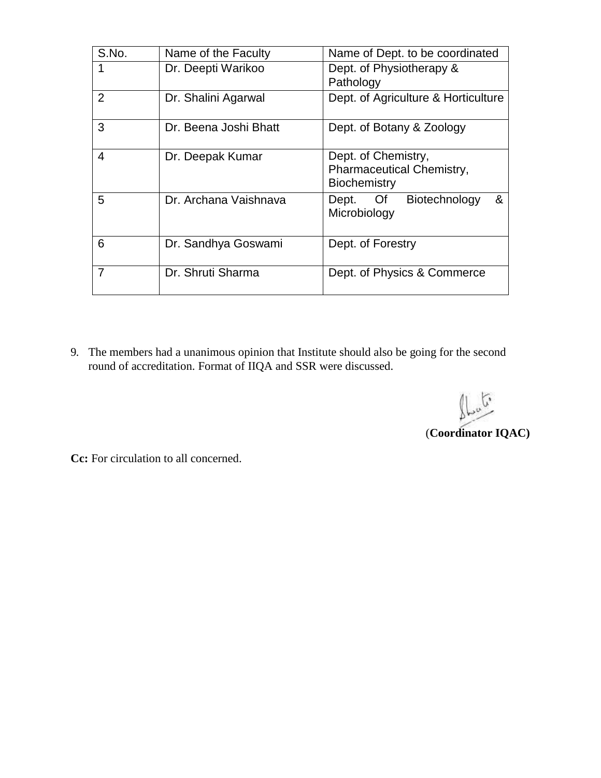| S.No.          | Name of the Faculty   | Name of Dept. to be coordinated                                  |
|----------------|-----------------------|------------------------------------------------------------------|
|                | Dr. Deepti Warikoo    | Dept. of Physiotherapy &<br>Pathology                            |
| $\overline{2}$ | Dr. Shalini Agarwal   | Dept. of Agriculture & Horticulture                              |
| 3              | Dr. Beena Joshi Bhatt | Dept. of Botany & Zoology                                        |
| 4              | Dr. Deepak Kumar      | Dept. of Chemistry,<br>Pharmaceutical Chemistry,<br>Biochemistry |
| 5              | Dr. Archana Vaishnava | Of<br>Biotechnology<br>&<br>Dept.<br>Microbiology                |
| 6              | Dr. Sandhya Goswami   | Dept. of Forestry                                                |
| 7              | Dr. Shruti Sharma     | Dept. of Physics & Commerce                                      |

9. The members had a unanimous opinion that Institute should also be going for the second round of accreditation. Format of IIQA and SSR were discussed.

 $\int_{\mathbb{R}^{n}}$ (**Coordinator IQAC)**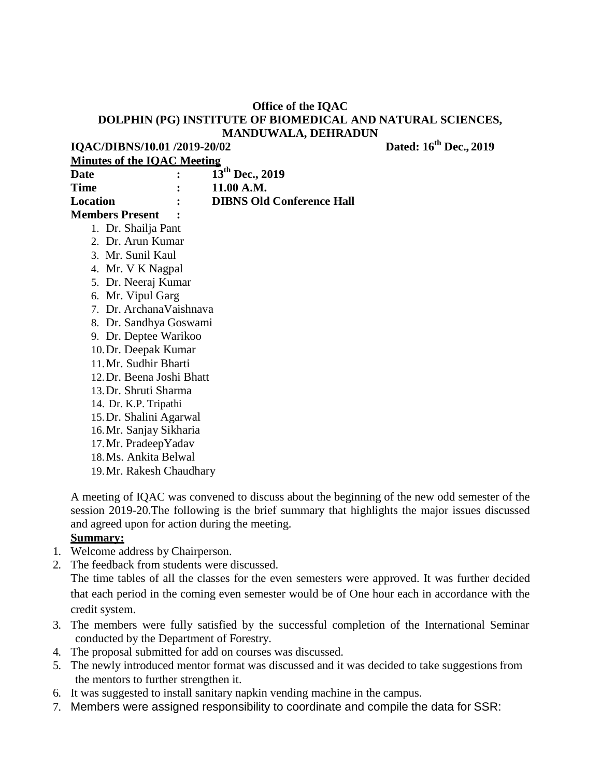**IQAC/DIBNS/10.01 /2019-20/02 Dated: 16th Dec., 2019**

| <b>Minutes of the IOAC Meeting</b> |                |                                  |
|------------------------------------|----------------|----------------------------------|
| Date                               | $\ddot{\cdot}$ | $13^{th}$ Dec., 2019             |
| <b>Time</b>                        |                | 11.00 A.M.                       |
| Location                           | $\ddot{\cdot}$ | <b>DIBNS Old Conference Hall</b> |
| <b>Members Present</b>             |                |                                  |
| 1. Dr. Shailja Pant                |                |                                  |
| 2. Dr. Arun Kumar                  |                |                                  |
| 3. Mr. Sunil Kaul                  |                |                                  |
| 4. Mr. V K Nagpal                  |                |                                  |

- 5. Dr. Neeraj Kumar
- 6. Mr. Vipul Garg
- 7. Dr. ArchanaVaishnava
- 8. Dr. Sandhya Goswami
- 9. Dr. Deptee Warikoo
- 10.Dr. Deepak Kumar
- 11.Mr. Sudhir Bharti
- 12.Dr. Beena Joshi Bhatt
- 13.Dr. Shruti Sharma
- 14. Dr. K.P. Tripathi
- 15.Dr. Shalini Agarwal
- 16.Mr. Sanjay Sikharia
- 17.Mr. PradeepYadav
- 18.Ms. Ankita Belwal
- 19.Mr. Rakesh Chaudhary

A meeting of IQAC was convened to discuss about the beginning of the new odd semester of the session 2019-20.The following is the brief summary that highlights the major issues discussed and agreed upon for action during the meeting.

## **Summary:**

- 1. Welcome address by Chairperson.
- 2. The feedback from students were discussed.

The time tables of all the classes for the even semesters were approved. It was further decided that each period in the coming even semester would be of One hour each in accordance with the credit system.

- 3. The members were fully satisfied by the successful completion of the International Seminar conducted by the Department of Forestry.
- 4. The proposal submitted for add on courses was discussed.
- 5. The newly introduced mentor format was discussed and it was decided to take suggestions from the mentors to further strengthen it.
- 6. It was suggested to install sanitary napkin vending machine in the campus.
- 7. Members were assigned responsibility to coordinate and compile the data for SSR: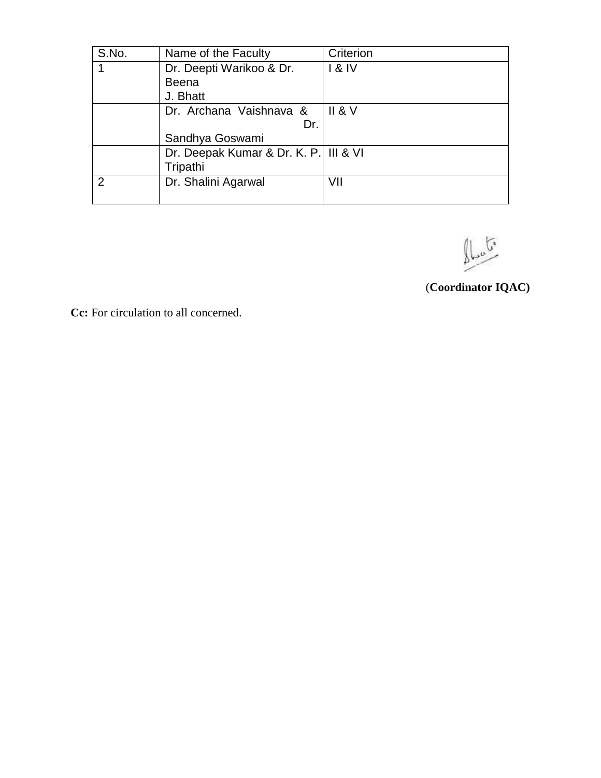| S.No. | Name of the Faculty                               | Criterion |
|-------|---------------------------------------------------|-----------|
|       | Dr. Deepti Warikoo & Dr.                          | 18N       |
|       | <b>Beena</b>                                      |           |
|       | J. Bhatt                                          |           |
|       | Dr. Archana Vaishnava &                           | II 8 V    |
|       | Dr.                                               |           |
|       | Sandhya Goswami                                   |           |
|       | Dr. Deepak Kumar & Dr. K. P. III & VI<br>Tripathi |           |
|       | Dr. Shalini Agarwal                               | VII       |
|       |                                                   |           |

 $\int_{\mathcal{L}^{\infty}}$ 

(**Coordinator IQAC)**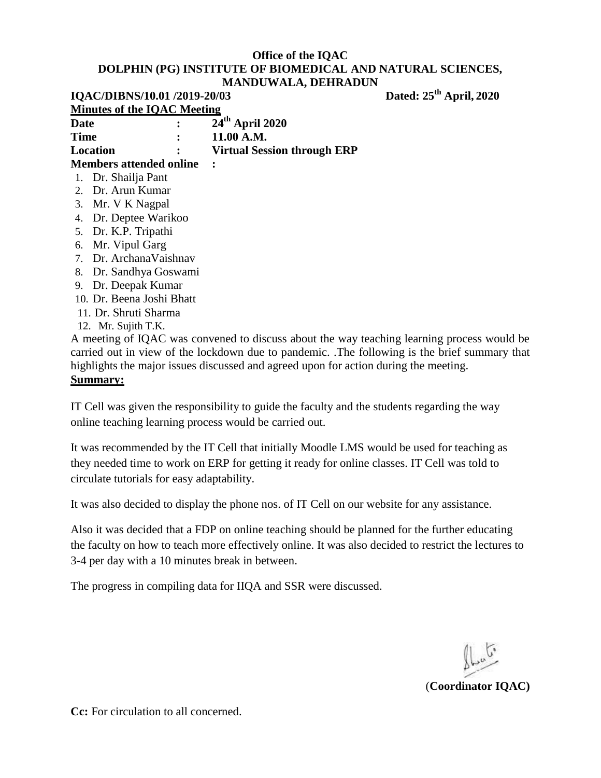|                           | IQAC/DIBNS/10.01 /2019-20/03       |                                    | Dated: 25 <sup>th</sup> April, 2020 |
|---------------------------|------------------------------------|------------------------------------|-------------------------------------|
|                           | <b>Minutes of the IOAC Meeting</b> |                                    |                                     |
| Date                      |                                    | 24 <sup>th</sup> April 2020        |                                     |
| Time                      |                                    | 11.00 A.M.                         |                                     |
| Location                  |                                    | <b>Virtual Session through ERP</b> |                                     |
| Members attended online   |                                    |                                    |                                     |
|                           | 1. Dr. Shailja Pant                |                                    |                                     |
|                           | 2. Dr. Arun Kumar                  |                                    |                                     |
|                           | 3. Mr. V K Nagpal                  |                                    |                                     |
| 4. Dr. Deptee Warikoo     |                                    |                                    |                                     |
| 5. Dr. K.P. Tripathi      |                                    |                                    |                                     |
| 6. Mr. Vipul Garg         |                                    |                                    |                                     |
| 7. Dr. ArchanaVaishnav    |                                    |                                    |                                     |
|                           | 8. Dr. Sandhya Goswami             |                                    |                                     |
| Dr. Deepak Kumar<br>9.    |                                    |                                    |                                     |
| 10. Dr. Beena Joshi Bhatt |                                    |                                    |                                     |

- 11. Dr. Shruti Sharma
- 12. Mr. Sujith T.K.

A meeting of IQAC was convened to discuss about the way teaching learning process would be carried out in view of the lockdown due to pandemic. .The following is the brief summary that highlights the major issues discussed and agreed upon for action during the meeting.

#### **Summary:**

IT Cell was given the responsibility to guide the faculty and the students regarding the way online teaching learning process would be carried out.

It was recommended by the IT Cell that initially Moodle LMS would be used for teaching as they needed time to work on ERP for getting it ready for online classes. IT Cell was told to circulate tutorials for easy adaptability.

It was also decided to display the phone nos. of IT Cell on our website for any assistance.

Also it was decided that a FDP on online teaching should be planned for the further educating the faculty on how to teach more effectively online. It was also decided to restrict the lectures to 3-4 per day with a 10 minutes break in between.

The progress in compiling data for IIQA and SSR were discussed.

(**Coordinator IQAC)**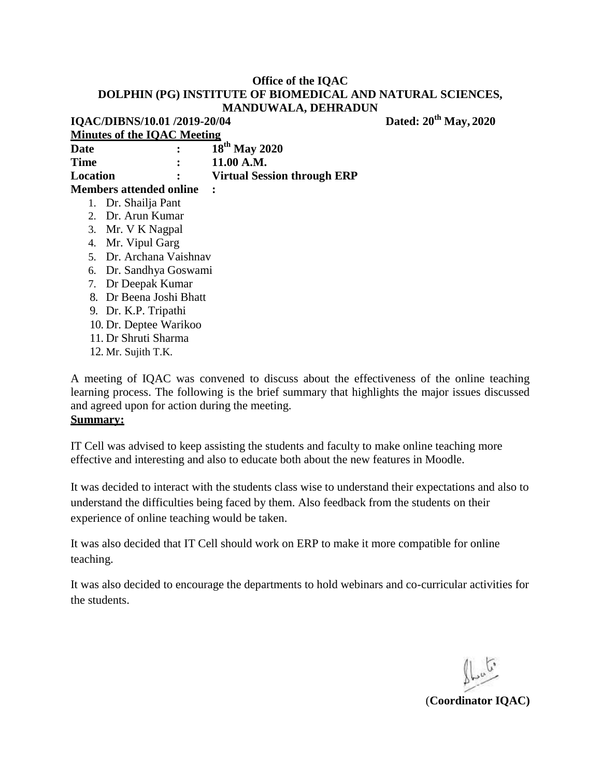**IQAC/DIBNS/10.01 /2019-20/04 Dated: 20th May, 2020 Minutes of the IQAC Meeting Date : 18th May 2020 Time : 11.00 A.M. Location : Virtual Session through ERP Members attended online :** 1. Dr. Shailja Pant 2. Dr. Arun Kumar 3. Mr. V K Nagpal 4. Mr. Vipul Garg 5. Dr. Archana Vaishnav 6. Dr. Sandhya Goswami 7. Dr Deepak Kumar 8. Dr Beena Joshi Bhatt 9. Dr. K.P. Tripathi 10. Dr. Deptee Warikoo 11. Dr Shruti Sharma 12. Mr. Sujith T.K.

A meeting of IQAC was convened to discuss about the effectiveness of the online teaching learning process. The following is the brief summary that highlights the major issues discussed and agreed upon for action during the meeting.

#### **Summary:**

IT Cell was advised to keep assisting the students and faculty to make online teaching more effective and interesting and also to educate both about the new features in Moodle.

It was decided to interact with the students class wise to understand their expectations and also to understand the difficulties being faced by them. Also feedback from the students on their experience of online teaching would be taken.

It was also decided that IT Cell should work on ERP to make it more compatible for online teaching.

It was also decided to encourage the departments to hold webinars and co-curricular activities for the students.

(**Coordinator IQAC)**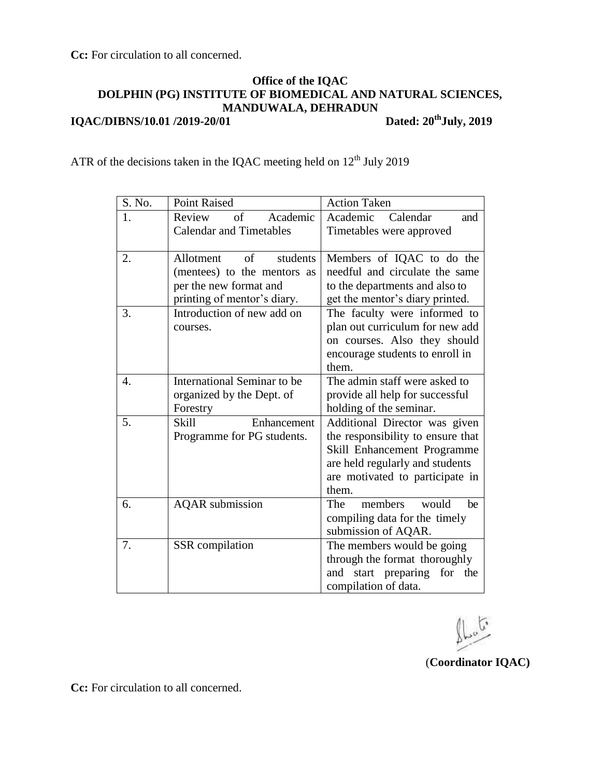**Cc:** For circulation to all concerned.

# **Office of the IQAC DOLPHIN (PG) INSTITUTE OF BIOMEDICAL AND NATURAL SCIENCES, MANDUWALA, DEHRADUN IQAC/DIBNS/10.01 /2019-20/01 Dated: 20thJuly, 2019**

ATR of the decisions taken in the IQAC meeting held on  $12<sup>th</sup>$  July 2019

| S. No. | <b>Point Raised</b>            | <b>Action Taken</b>               |
|--------|--------------------------------|-----------------------------------|
| 1.     | of<br>Review<br>Academic       | Academic<br>Calendar<br>and       |
|        | <b>Calendar and Timetables</b> | Timetables were approved          |
|        |                                |                                   |
| 2.     | of<br>students<br>Allotment    | Members of IQAC to do the         |
|        | (mentees) to the mentors as    | needful and circulate the same    |
|        | per the new format and         | to the departments and also to    |
|        | printing of mentor's diary.    | get the mentor's diary printed.   |
| 3.     | Introduction of new add on     | The faculty were informed to      |
|        | courses.                       | plan out curriculum for new add   |
|        |                                | on courses. Also they should      |
|        |                                | encourage students to enroll in   |
|        |                                | them.                             |
| 4.     | International Seminar to be    | The admin staff were asked to     |
|        | organized by the Dept. of      | provide all help for successful   |
|        | Forestry                       | holding of the seminar.           |
| 5.     | <b>Skill</b><br>Enhancement    | Additional Director was given     |
|        | Programme for PG students.     | the responsibility to ensure that |
|        |                                | Skill Enhancement Programme       |
|        |                                | are held regularly and students   |
|        |                                | are motivated to participate in   |
|        |                                | them.                             |
| 6.     | <b>AQAR</b> submission         | members<br>The<br>would<br>be     |
|        |                                | compiling data for the timely     |
|        |                                | submission of AQAR.               |
| 7.     | <b>SSR</b> compilation         | The members would be going        |
|        |                                | through the format thoroughly     |
|        |                                | and start preparing<br>for<br>the |
|        |                                | compilation of data.              |

(**Coordinator IQAC)**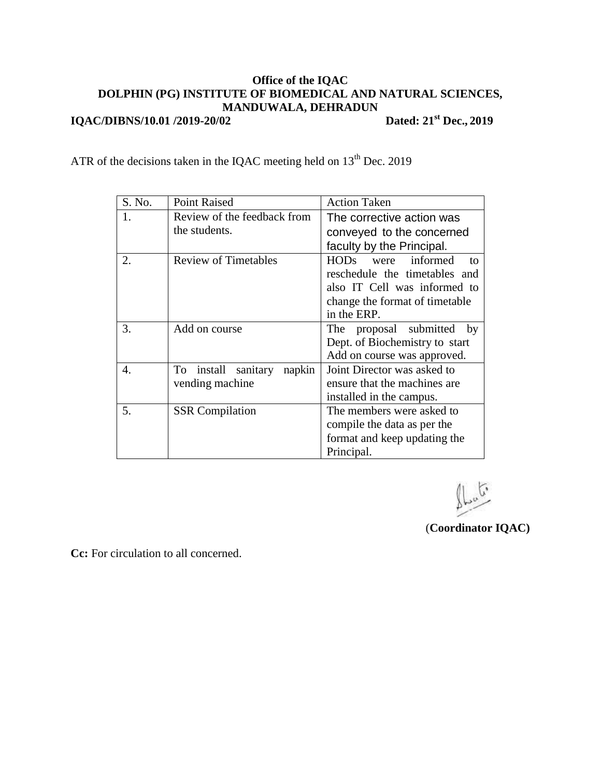## **Office of the IQAC DOLPHIN (PG) INSTITUTE OF BIOMEDICAL AND NATURAL SCIENCES, MANDUWALA, DEHRADUN IQAC/DIBNS/10.01 /2019-20/02 Dated: 21st Dec., 2019**

ATR of the decisions taken in the IQAC meeting held on  $13<sup>th</sup>$  Dec. 2019

| S. No. | <b>Point Raised</b>           | <b>Action Taken</b>                |
|--------|-------------------------------|------------------------------------|
| 1.     | Review of the feedback from   | The corrective action was          |
|        | the students.                 | conveyed to the concerned          |
|        |                               | faculty by the Principal.          |
| 2.     | <b>Review of Timetables</b>   | were informed<br><b>HODs</b><br>to |
|        |                               | reschedule the timetables and      |
|        |                               | also IT Cell was informed to       |
|        |                               | change the format of timetable     |
|        |                               | in the ERP.                        |
| 3.     | Add on course                 | The proposal submitted by          |
|        |                               | Dept. of Biochemistry to start     |
|        |                               | Add on course was approved.        |
| 4.     | To install sanitary<br>napkin | Joint Director was asked to        |
|        | vending machine               | ensure that the machines are       |
|        |                               | installed in the campus.           |
| 5.     | <b>SSR</b> Compilation        | The members were asked to          |
|        |                               | compile the data as per the        |
|        |                               | format and keep updating the       |
|        |                               | Principal.                         |

C,

(**Coordinator IQAC)**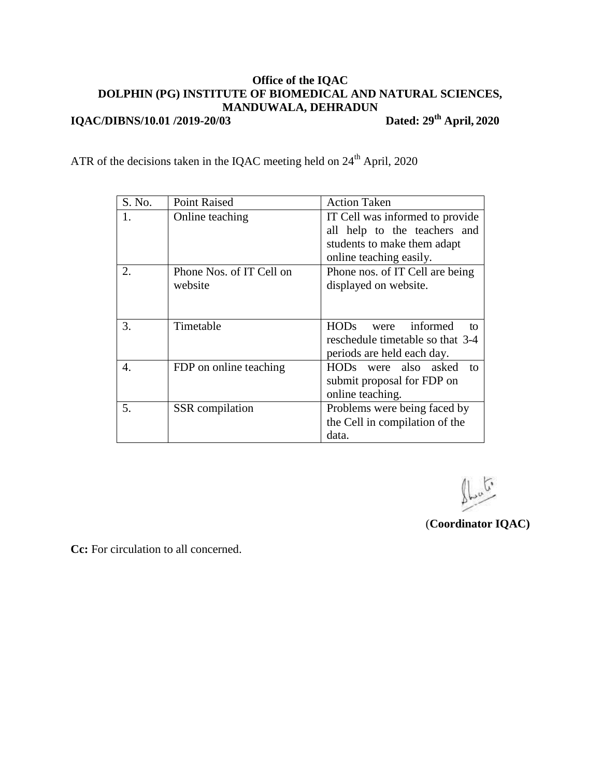# **Office of the IQAC DOLPHIN (PG) INSTITUTE OF BIOMEDICAL AND NATURAL SCIENCES, MANDUWALA, DEHRADUN IQAC/DIBNS/10.01 /2019-20/03 Dated: 29th April, 2020**

ATR of the decisions taken in the IQAC meeting held on  $24<sup>th</sup>$  April, 2020

| S. No. | <b>Point Raised</b>      | <b>Action Taken</b>                   |
|--------|--------------------------|---------------------------------------|
| 1.     | Online teaching          | IT Cell was informed to provide       |
|        |                          | all help to the teachers and          |
|        |                          | students to make them adapt           |
|        |                          | online teaching easily.               |
| 2.     | Phone Nos. of IT Cell on | Phone nos. of IT Cell are being       |
|        | website                  | displayed on website.                 |
|        |                          |                                       |
|        |                          |                                       |
| 3.     | Timetable                | informed<br><b>HODs</b><br>were<br>to |
|        |                          | reschedule timetable so that 3-4      |
|        |                          | periods are held each day.            |
| 4.     | FDP on online teaching   | HODs were also asked<br>to            |
|        |                          | submit proposal for FDP on            |
|        |                          | online teaching.                      |
| 5.     | <b>SSR</b> compilation   | Problems were being faced by          |
|        |                          | the Cell in compilation of the        |
|        |                          | data.                                 |

 $\int_{\mathbb{R}^n}$ 

(**Coordinator IQAC)**